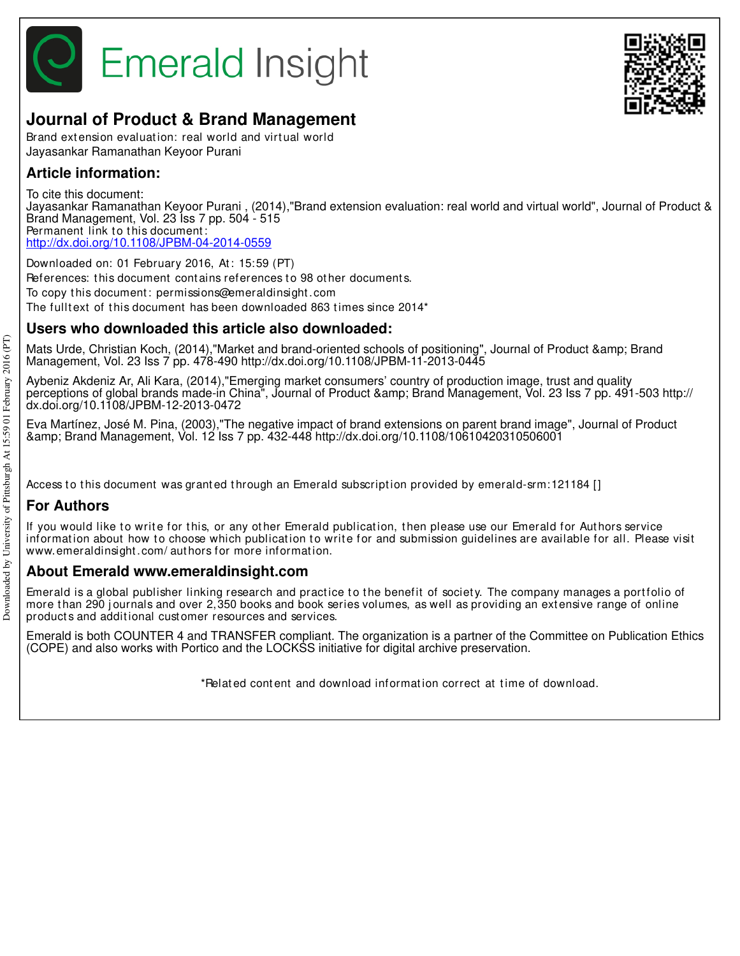

# **Journal of Product & Brand Management**

Brand extension evaluation: real world and virtual world Jayasankar Ramanathan Keyoor Purani

# **Article information:**

To cite this document:

Jayasankar Ramanathan Keyoor Purani , (2014),"Brand extension evaluation: real world and virtual world", Journal of Product & Brand Management, Vol. 23 Iss 7 pp. 504 - 515 Permanent link to this document: http://dx.doi.org/10.1108/JPBM-04-2014-0559

Downloaded on: 01 February 2016, At: 15:59 (PT) References: this document contains references to 98 other documents. To copy t his document : permissions@emeraldinsight .com The fulltext of this document has been downloaded 863 times since 2014\*

# **Users who downloaded this article also downloaded:**

Mats Urde, Christian Koch, (2014),"Market and brand-oriented schools of positioning", Journal of Product & Brand Management, Vol. 23 Iss 7 pp. 478-490 http://dx.doi.org/10.1108/JPBM-11-2013-0445

Aybeniz Akdeniz Ar, Ali Kara, (2014),"Emerging market consumers' country of production image, trust and quality perceptions of global brands made-in China", Journal of Product & amp; Brand Management, Vol. 23 Iss 7 pp. 491-503 http:// dx.doi.org/10.1108/JPBM-12-2013-0472

Eva Martínez, José M. Pina, (2003),"The negative impact of brand extensions on parent brand image", Journal of Product & Brand Management, Vol. 12 Iss 7 pp. 432-448 http://dx.doi.org/10.1108/10610420310506001

Access to this document was granted through an Emerald subscription provided by emerald-srm: 121184 []

# **For Authors**

If you would like to write for this, or any other Emerald publication, then please use our Emerald for Authors service information about how to choose which publication to write for and submission guidelines are available for all. Please visit www.emeraldinsight .com/ aut hors for more informat ion.

# **About Emerald www.emeraldinsight.com**

Emerald is a global publisher linking research and practice to the benefit of society. The company manages a portfolio of more than 290 journals and over 2,350 books and book series volumes, as well as providing an extensive range of online product s and addit ional cust omer resources and services.

Emerald is both COUNTER 4 and TRANSFER compliant. The organization is a partner of the Committee on Publication Ethics (COPE) and also works with Portico and the LOCKSS initiative for digital archive preservation.

\*Relat ed cont ent and download informat ion correct at t ime of download.

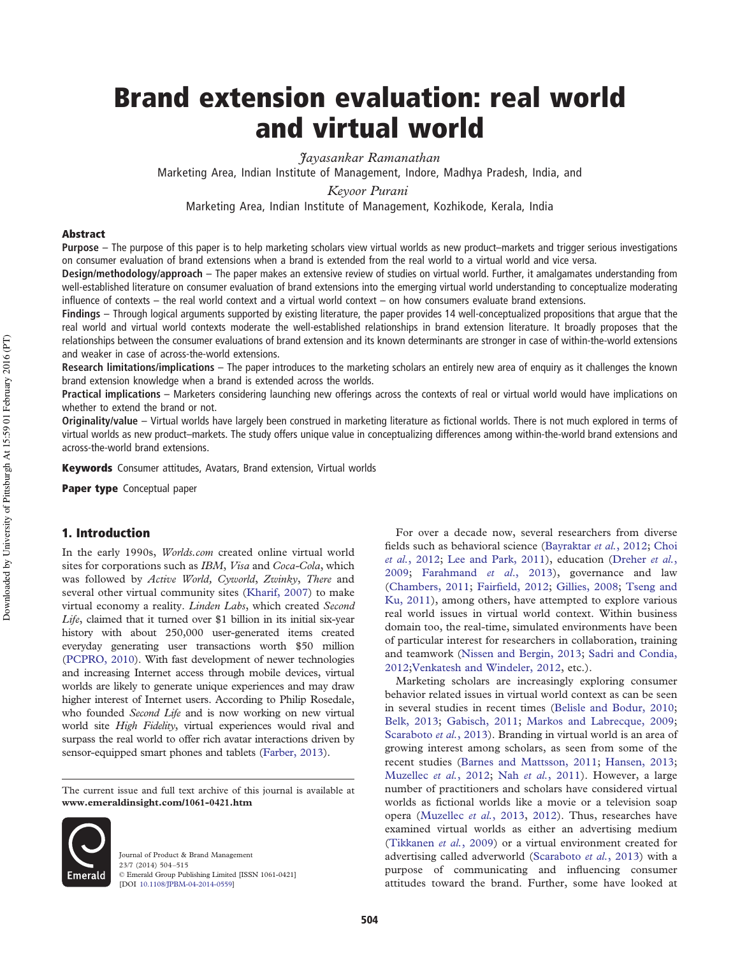# Brand extension evaluation: real world and virtual world

*Jayasankar Ramanathan*

Marketing Area, Indian Institute of Management, Indore, Madhya Pradesh, India, and

*Keyoor Purani*

Marketing Area, Indian Institute of Management, Kozhikode, Kerala, India

#### Abstract

**Purpose** – The purpose of this paper is to help marketing scholars view virtual worlds as new product–markets and trigger serious investigations on consumer evaluation of brand extensions when a brand is extended from the real world to a virtual world and vice versa.

**Design/methodology/approach** – The paper makes an extensive review of studies on virtual world. Further, it amalgamates understanding from well-established literature on consumer evaluation of brand extensions into the emerging virtual world understanding to conceptualize moderating influence of contexts – the real world context and a virtual world context – on how consumers evaluate brand extensions.

**Findings** – Through logical arguments supported by existing literature, the paper provides 14 well-conceptualized propositions that argue that the real world and virtual world contexts moderate the well-established relationships in brand extension literature. It broadly proposes that the relationships between the consumer evaluations of brand extension and its known determinants are stronger in case of within-the-world extensions and weaker in case of across-the-world extensions.

**Research limitations/implications** – The paper introduces to the marketing scholars an entirely new area of enquiry as it challenges the known brand extension knowledge when a brand is extended across the worlds.

**Practical implications** – Marketers considering launching new offerings across the contexts of real or virtual world would have implications on whether to extend the brand or not.

**Originality/value** – Virtual worlds have largely been construed in marketing literature as fictional worlds. There is not much explored in terms of virtual worlds as new product–markets. The study offers unique value in conceptualizing differences among within-the-world brand extensions and across-the-world brand extensions.

Keywords Consumer attitudes, Avatars, Brand extension, Virtual worlds

Paper type Conceptual paper

## 1. Introduction

In the early 1990s, *Worlds.com* created online virtual world sites for corporations such as *IBM*, *Visa* and *Coca-Cola*, which was followed by *Active World, Cyworld*, *Zwinky*, *There* and several other virtual community sites (Kharif, 2007) to make virtual economy a reality. *Linden Labs*, which created *Second Life*, claimed that it turned over \$1 billion in its initial six-year history with about 250,000 user-generated items created everyday generating user transactions worth \$50 million (PCPRO, 2010). With fast development of newer technologies and increasing Internet access through mobile devices, virtual worlds are likely to generate unique experiences and may draw higher interest of Internet users. According to Philip Rosedale, who founded *Second Life* and is now working on new virtual world site *High Fidelity*, virtual experiences would rival and surpass the real world to offer rich avatar interactions driven by sensor-equipped smart phones and tablets (Farber, 2013).

The current issue and full text archive of this journal is available at **www.emeraldinsight.com/1061-0421.htm**



Journal of Product & Brand Management 23/7 (2014) 504–515 © Emerald Group Publishing Limited [ISSN 1061-0421] [DOI 10.1108/JPBM-04-2014-0559]

For over a decade now, several researchers from diverse fields such as behavioral science (Bayraktar *et al.*, 2012; Choi *et al.*, 2012; Lee and Park, 2011), education (Dreher *et al.*, 2009; Farahmand *et al*., 2013), governance and law (Chambers, 2011; Fairfield, 2012; Gillies, 2008; Tseng and Ku, 2011), among others, have attempted to explore various real world issues in virtual world context. Within business domain too, the real-time, simulated environments have been of particular interest for researchers in collaboration, training and teamwork (Nissen and Bergin, 2013; Sadri and Condia, 2012;Venkatesh and Windeler, 2012, etc.).

Marketing scholars are increasingly exploring consumer behavior related issues in virtual world context as can be seen in several studies in recent times (Belisle and Bodur, 2010; Belk, 2013; Gabisch, 2011; Markos and Labrecque, 2009; Scaraboto *et al.*, 2013). Branding in virtual world is an area of growing interest among scholars, as seen from some of the recent studies (Barnes and Mattsson, 2011; Hansen, 2013; Muzellec *et al.*, 2012; Nah *et al.*, 2011). However, a large number of practitioners and scholars have considered virtual worlds as fictional worlds like a movie or a television soap opera (Muzellec *et al.*, 2013, 2012). Thus, researches have examined virtual worlds as either an advertising medium (Tikkanen *et al.*, 2009) or a virtual environment created for advertising called adverworld (Scaraboto *et al.*, 2013) with a purpose of communicating and influencing consumer attitudes toward the brand. Further, some have looked at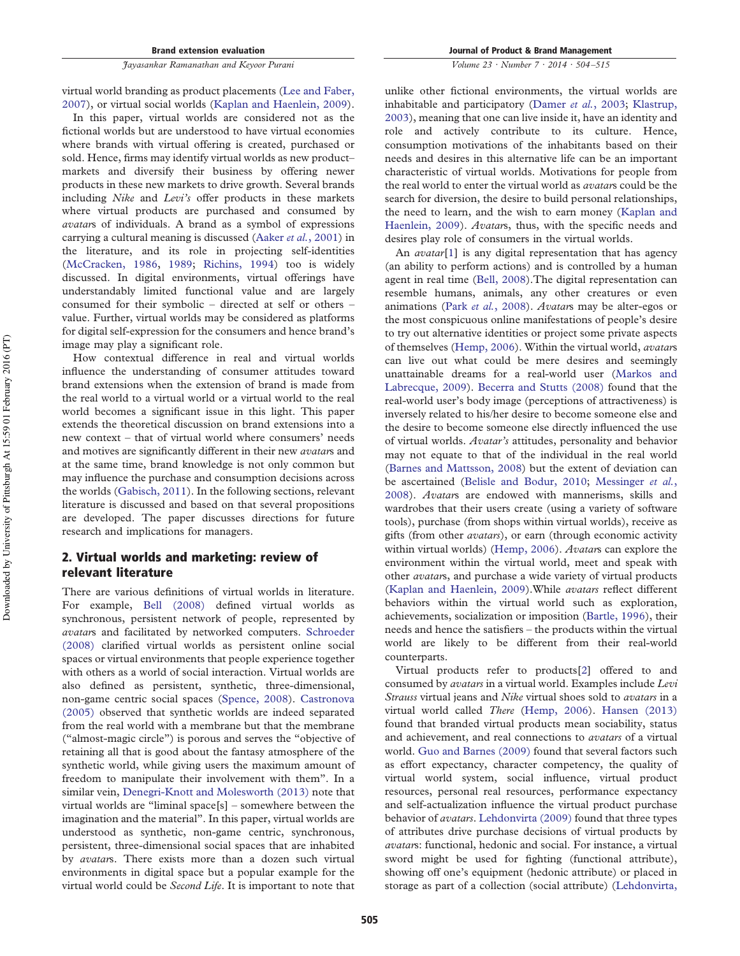virtual world branding as product placements (Lee and Faber, 2007), or virtual social worlds (Kaplan and Haenlein, 2009).

In this paper, virtual worlds are considered not as the fictional worlds but are understood to have virtual economies where brands with virtual offering is created, purchased or sold. Hence, firms may identify virtual worlds as new product– markets and diversify their business by offering newer products in these new markets to drive growth. Several brands including *Nike* and *Levi's* offer products in these markets where virtual products are purchased and consumed by *avatar*s of individuals. A brand as a symbol of expressions carrying a cultural meaning is discussed (Aaker *et al.*, 2001) in the literature, and its role in projecting self-identities (McCracken, 1986, 1989; Richins, 1994) too is widely discussed. In digital environments, virtual offerings have understandably limited functional value and are largely consumed for their symbolic – directed at self or others – value. Further, virtual worlds may be considered as platforms for digital self-expression for the consumers and hence brand's image may play a significant role.

How contextual difference in real and virtual worlds influence the understanding of consumer attitudes toward brand extensions when the extension of brand is made from the real world to a virtual world or a virtual world to the real world becomes a significant issue in this light. This paper extends the theoretical discussion on brand extensions into a new context – that of virtual world where consumers' needs and motives are significantly different in their new *avatar*s and at the same time, brand knowledge is not only common but may influence the purchase and consumption decisions across the worlds (Gabisch, 2011). In the following sections, relevant literature is discussed and based on that several propositions are developed. The paper discusses directions for future research and implications for managers.

## 2. Virtual worlds and marketing: review of relevant literature

There are various definitions of virtual worlds in literature. For example, Bell (2008) defined virtual worlds as synchronous, persistent network of people, represented by *avatar*s and facilitated by networked computers. Schroeder (2008) clarified virtual worlds as persistent online social spaces or virtual environments that people experience together with others as a world of social interaction. Virtual worlds are also defined as persistent, synthetic, three-dimensional, non-game centric social spaces (Spence, 2008). Castronova (2005) observed that synthetic worlds are indeed separated from the real world with a membrane but that the membrane ("almost-magic circle") is porous and serves the "objective of retaining all that is good about the fantasy atmosphere of the synthetic world, while giving users the maximum amount of freedom to manipulate their involvement with them". In a similar vein, Denegri-Knott and Molesworth (2013) note that virtual worlds are "liminal space[s] – somewhere between the imagination and the material". In this paper, virtual worlds are understood as synthetic, non-game centric, synchronous, persistent, three-dimensional social spaces that are inhabited by *avatar*s. There exists more than a dozen such virtual environments in digital space but a popular example for the virtual world could be *Second Life*. It is important to note that *Volume 23 · Number 7 · 2014 · 504 –515*

unlike other fictional environments, the virtual worlds are inhabitable and participatory (Damer *et al.*, 2003; Klastrup, 2003), meaning that one can live inside it, have an identity and role and actively contribute to its culture. Hence, consumption motivations of the inhabitants based on their needs and desires in this alternative life can be an important characteristic of virtual worlds. Motivations for people from the real world to enter the virtual world as *avatar*s could be the search for diversion, the desire to build personal relationships, the need to learn, and the wish to earn money (Kaplan and Haenlein, 2009). *Avatar*s, thus, with the specific needs and desires play role of consumers in the virtual worlds.

An *avatar*[1] is any digital representation that has agency (an ability to perform actions) and is controlled by a human agent in real time (Bell, 2008).The digital representation can resemble humans, animals, any other creatures or even animations (Park *et al.*, 2008). *Avatar*s may be alter-egos or the most conspicuous online manifestations of people's desire to try out alternative identities or project some private aspects of themselves (Hemp, 2006). Within the virtual world, *avatar*s can live out what could be mere desires and seemingly unattainable dreams for a real-world user (Markos and Labrecque, 2009). Becerra and Stutts (2008) found that the real-world user's body image (perceptions of attractiveness) is inversely related to his/her desire to become someone else and the desire to become someone else directly influenced the use of virtual worlds. *Avatar's* attitudes, personality and behavior may not equate to that of the individual in the real world (Barnes and Mattsson, 2008) but the extent of deviation can be ascertained (Belisle and Bodur, 2010; Messinger *et al.*, 2008). *Avatar*s are endowed with mannerisms, skills and wardrobes that their users create (using a variety of software tools), purchase (from shops within virtual worlds), receive as gifts (from other *avatars*), or earn (through economic activity within virtual worlds) (Hemp, 2006). *Avatar*s can explore the environment within the virtual world, meet and speak with other *avatar*s, and purchase a wide variety of virtual products (Kaplan and Haenlein, 2009).While *avatars* reflect different behaviors within the virtual world such as exploration, achievements, socialization or imposition (Bartle, 1996), their needs and hence the satisfiers – the products within the virtual world are likely to be different from their real-world counterparts.

Virtual products refer to products[2] offered to and consumed by *avatars* in a virtual world. Examples include *Levi Strauss* virtual jeans and *Nike* virtual shoes sold to *avatars* in a virtual world called *There* (Hemp, 2006). Hansen (2013) found that branded virtual products mean sociability, status and achievement, and real connections to *avatars* of a virtual world. Guo and Barnes (2009) found that several factors such as effort expectancy, character competency, the quality of virtual world system, social influence, virtual product resources, personal real resources, performance expectancy and self-actualization influence the virtual product purchase behavior of *avatars*. Lehdonvirta (2009) found that three types of attributes drive purchase decisions of virtual products by *avatar*s: functional, hedonic and social. For instance, a virtual sword might be used for fighting (functional attribute), showing off one's equipment (hedonic attribute) or placed in storage as part of a collection (social attribute) (Lehdonvirta,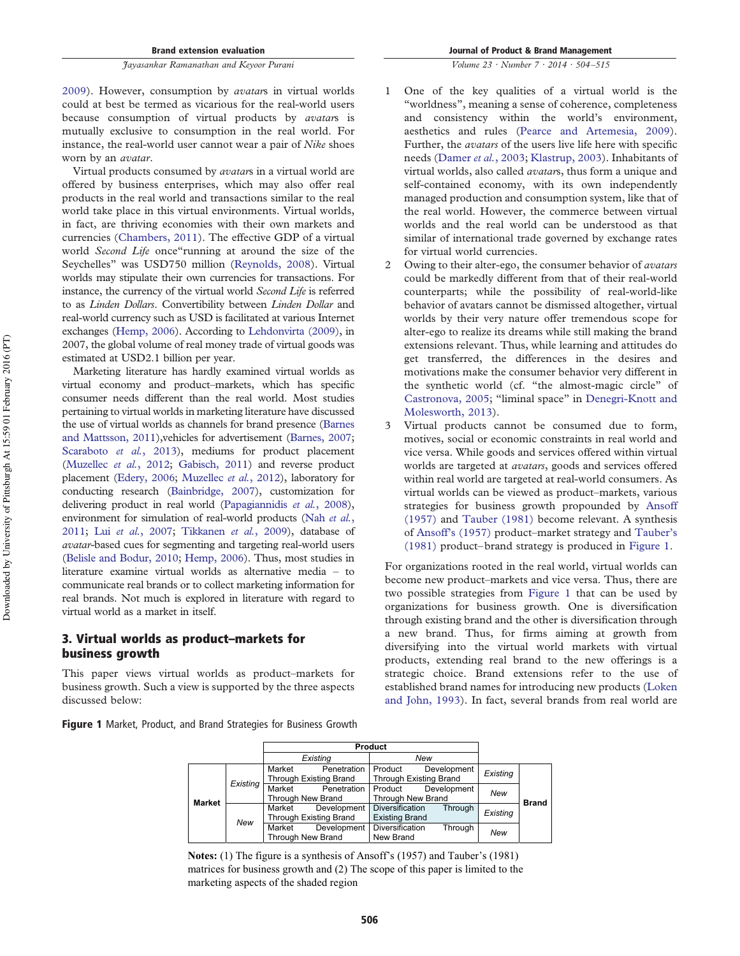*Volume 23 · Number 7 · 2014 · 504 –515*

2009). However, consumption by *avatar*s in virtual worlds could at best be termed as vicarious for the real-world users because consumption of virtual products by *avatar*s is mutually exclusive to consumption in the real world. For instance, the real-world user cannot wear a pair of *Nike* shoes worn by an *avatar*.

Virtual products consumed by *avatar*s in a virtual world are offered by business enterprises, which may also offer real products in the real world and transactions similar to the real world take place in this virtual environments. Virtual worlds, in fact, are thriving economies with their own markets and currencies (Chambers, 2011). The effective GDP of a virtual world *Second Life* once"running at around the size of the Seychelles" was USD750 million (Reynolds, 2008). Virtual worlds may stipulate their own currencies for transactions. For instance, the currency of the virtual world *Second Life* is referred to as *Linden Dollars*. Convertibility between *Linden Dollar* and real-world currency such as USD is facilitated at various Internet exchanges (Hemp, 2006). According to Lehdonvirta (2009), in 2007, the global volume of real money trade of virtual goods was estimated at USD2.1 billion per year.

Marketing literature has hardly examined virtual worlds as virtual economy and product–markets, which has specific consumer needs different than the real world. Most studies pertaining to virtual worlds in marketing literature have discussed the use of virtual worlds as channels for brand presence (Barnes and Mattsson, 2011),vehicles for advertisement (Barnes, 2007; Scaraboto *et al.*, 2013), mediums for product placement (Muzellec *et al.*, 2012; Gabisch, 2011) and reverse product placement (Edery, 2006; Muzellec *et al.*, 2012), laboratory for conducting research (Bainbridge, 2007), customization for delivering product in real world (Papagiannidis *et al.*, 2008), environment for simulation of real-world products (Nah *et al.*, 2011; Lui *et al.*, 2007; Tikkanen *et al.*, 2009), database of *avatar-*based cues for segmenting and targeting real-world users (Belisle and Bodur, 2010; Hemp, 2006). Thus, most studies in literature examine virtual worlds as alternative media – to communicate real brands or to collect marketing information for real brands. Not much is explored in literature with regard to virtual world as a market in itself.

## 3. Virtual worlds as product–markets for business growth

This paper views virtual worlds as product–markets for business growth. Such a view is supported by the three aspects discussed below:

Figure 1 Market, Product, and Brand Strategies for Business Growth

- 1 One of the key qualities of a virtual world is the "worldness", meaning a sense of coherence, completeness and consistency within the world's environment, aesthetics and rules (Pearce and Artemesia, 2009). Further, the *avatars* of the users live life here with specific needs (Damer *et al.*, 2003; Klastrup, 2003). Inhabitants of virtual worlds, also called *avatar*s, thus form a unique and self-contained economy, with its own independently managed production and consumption system, like that of the real world. However, the commerce between virtual worlds and the real world can be understood as that similar of international trade governed by exchange rates for virtual world currencies.
- 2 Owing to their alter-ego, the consumer behavior of *avatars* could be markedly different from that of their real-world counterparts; while the possibility of real-world-like behavior of avatars cannot be dismissed altogether, virtual worlds by their very nature offer tremendous scope for alter-ego to realize its dreams while still making the brand extensions relevant. Thus, while learning and attitudes do get transferred, the differences in the desires and motivations make the consumer behavior very different in the synthetic world (cf. "the almost-magic circle" of Castronova, 2005; "liminal space" in Denegri-Knott and Molesworth, 2013).
- 3 Virtual products cannot be consumed due to form, motives, social or economic constraints in real world and vice versa. While goods and services offered within virtual worlds are targeted at *avatars*, goods and services offered within real world are targeted at real-world consumers. As virtual worlds can be viewed as product–markets, various strategies for business growth propounded by Ansoff (1957) and Tauber (1981) become relevant. A synthesis of Ansoff's (1957) product–market strategy and Tauber's (1981) product–brand strategy is produced in Figure 1.

For organizations rooted in the real world, virtual worlds can become new product–markets and vice versa. Thus, there are two possible strategies from Figure 1 that can be used by organizations for business growth. One is diversification through existing brand and the other is diversification through a new brand. Thus, for firms aiming at growth from diversifying into the virtual world markets with virtual products, extending real brand to the new offerings is a strategic choice. Brand extensions refer to the use of established brand names for introducing new products (Loken and John, 1993). In fact, several brands from real world are

|               |          | Existing                                                |             | New                      |             |          |              |
|---------------|----------|---------------------------------------------------------|-------------|--------------------------|-------------|----------|--------------|
| <b>Market</b> | Existing | Market                                                  | Penetration | Product                  | Development | Existing |              |
|               |          | <b>Through Existing Brand</b><br>Through Existing Brand |             |                          |             |          |              |
|               |          | Market                                                  | Penetration | Product                  | Development | New      |              |
|               |          | Through New Brand                                       |             | <b>Through New Brand</b> |             |          | <b>Brand</b> |
|               | New      | Market                                                  | Development | <b>Diversification</b>   | Through     | Existing |              |
|               |          | Through Existing Brand                                  |             | <b>Existing Brand</b>    |             |          |              |
|               |          | Market                                                  | Development | Diversification          | Through     | New      |              |
|               |          | <b>Through New Brand</b>                                |             | New Brand                |             |          |              |

**Notes:** (1) The figure is a synthesis of Ansoff's (1957) and Tauber's (1981) matrices for business growth and (2) The scope of this paper is limited to the marketing aspects of the shaded region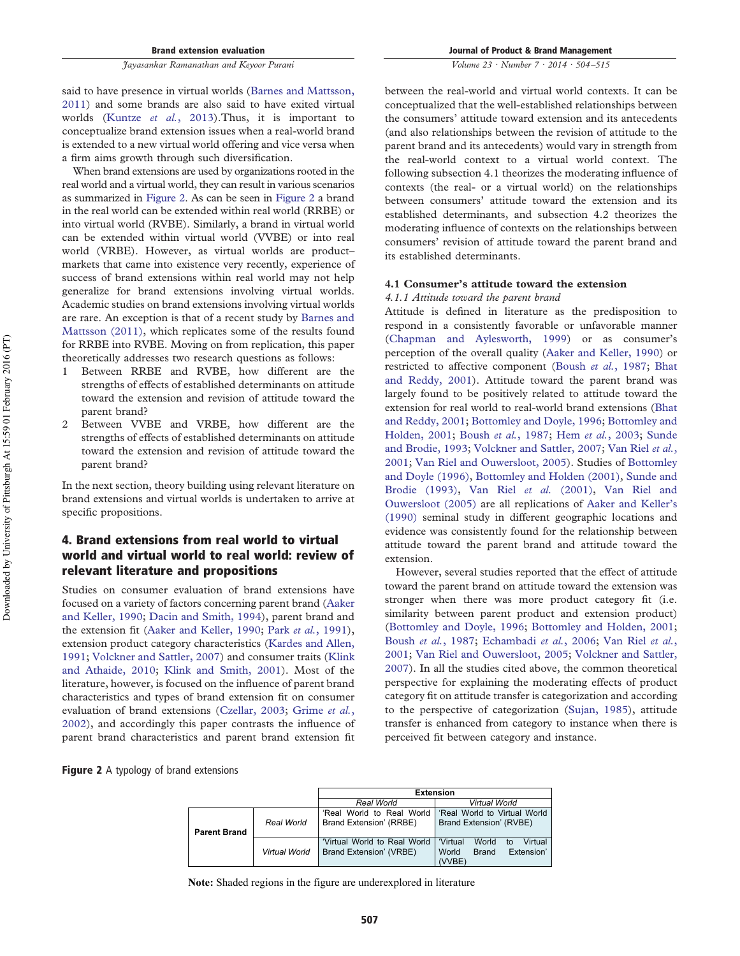said to have presence in virtual worlds (Barnes and Mattsson, 2011) and some brands are also said to have exited virtual worlds (Kuntze *et al.*, 2013).Thus, it is important to conceptualize brand extension issues when a real-world brand is extended to a new virtual world offering and vice versa when a firm aims growth through such diversification.

When brand extensions are used by organizations rooted in the real world and a virtual world, they can result in various scenarios as summarized in Figure 2. As can be seen in Figure 2 a brand in the real world can be extended within real world (RRBE) or into virtual world (RVBE). Similarly, a brand in virtual world can be extended within virtual world (VVBE) or into real world (VRBE). However, as virtual worlds are product– markets that came into existence very recently, experience of success of brand extensions within real world may not help generalize for brand extensions involving virtual worlds. Academic studies on brand extensions involving virtual worlds are rare. An exception is that of a recent study by Barnes and Mattsson (2011), which replicates some of the results found for RRBE into RVBE. Moving on from replication, this paper theoretically addresses two research questions as follows:

- 1 Between RRBE and RVBE, how different are the strengths of effects of established determinants on attitude toward the extension and revision of attitude toward the parent brand?
- 2 Between VVBE and VRBE, how different are the strengths of effects of established determinants on attitude toward the extension and revision of attitude toward the parent brand?

In the next section, theory building using relevant literature on brand extensions and virtual worlds is undertaken to arrive at specific propositions.

# 4. Brand extensions from real world to virtual world and virtual world to real world: review of relevant literature and propositions

Studies on consumer evaluation of brand extensions have focused on a variety of factors concerning parent brand (Aaker and Keller, 1990; Dacin and Smith, 1994), parent brand and the extension fit (Aaker and Keller, 1990; Park *et al.*, 1991), extension product category characteristics (Kardes and Allen, 1991; Volckner and Sattler, 2007) and consumer traits (Klink and Athaide, 2010; Klink and Smith, 2001). Most of the literature, however, is focused on the influence of parent brand characteristics and types of brand extension fit on consumer evaluation of brand extensions (Czellar, 2003; Grime *et al.*, 2002), and accordingly this paper contrasts the influence of parent brand characteristics and parent brand extension fit

*Volume 23 · Number 7 · 2014 · 504 –515*

between the real-world and virtual world contexts. It can be conceptualized that the well-established relationships between the consumers' attitude toward extension and its antecedents (and also relationships between the revision of attitude to the parent brand and its antecedents) would vary in strength from the real-world context to a virtual world context. The following subsection 4.1 theorizes the moderating influence of contexts (the real- or a virtual world) on the relationships between consumers' attitude toward the extension and its established determinants, and subsection 4.2 theorizes the moderating influence of contexts on the relationships between consumers' revision of attitude toward the parent brand and its established determinants.

#### **4.1 Consumer's attitude toward the extension**

#### *4.1.1 Attitude toward the parent brand*

Attitude is defined in literature as the predisposition to respond in a consistently favorable or unfavorable manner (Chapman and Aylesworth, 1999) or as consumer's perception of the overall quality (Aaker and Keller, 1990) or restricted to affective component (Boush *et al.*, 1987; Bhat and Reddy, 2001). Attitude toward the parent brand was largely found to be positively related to attitude toward the extension for real world to real-world brand extensions (Bhat and Reddy, 2001; Bottomley and Doyle, 1996; Bottomley and Holden, 2001; Boush *et al.*, 1987; Hem *et al.*, 2003; Sunde and Brodie, 1993; Volckner and Sattler, 2007; Van Riel *et al.*, 2001; Van Riel and Ouwersloot, 2005). Studies of Bottomley and Doyle (1996), Bottomley and Holden (2001), Sunde and Brodie (1993), Van Riel *et al.* (2001), Van Riel and Ouwersloot (2005) are all replications of Aaker and Keller's (1990) seminal study in different geographic locations and evidence was consistently found for the relationship between attitude toward the parent brand and attitude toward the extension.

However, several studies reported that the effect of attitude toward the parent brand on attitude toward the extension was stronger when there was more product category fit (i.e. similarity between parent product and extension product) (Bottomley and Doyle, 1996; Bottomley and Holden, 2001; Boush *et al.*, 1987; Echambadi *et al.*, 2006; Van Riel *et al.*, 2001; Van Riel and Ouwersloot, 2005; Volckner and Sattler, 2007). In all the studies cited above, the common theoretical perspective for explaining the moderating effects of product category fit on attitude transfer is categorization and according to the perspective of categorization (Sujan, 1985), attitude transfer is enhanced from category to instance when there is perceived fit between category and instance.



|                     |               | <b>Extension</b>                                        |                                                                                     |  |  |
|---------------------|---------------|---------------------------------------------------------|-------------------------------------------------------------------------------------|--|--|
|                     |               | Real World                                              | Virtual World                                                                       |  |  |
| <b>Parent Brand</b> | Real World    | 'Real World to Real World<br>Brand Extension' (RRBE)    | 'Real World to Virtual World<br>Brand Extension' (RVBE)                             |  |  |
|                     | Virtual World | 'Virtual World to Real World<br>Brand Extension' (VRBE) | Virtual<br>'Virtual<br>World<br>to<br>Extension'<br>World<br><b>Brand</b><br>(VVBE) |  |  |

**Note:** Shaded regions in the figure are underexplored in literature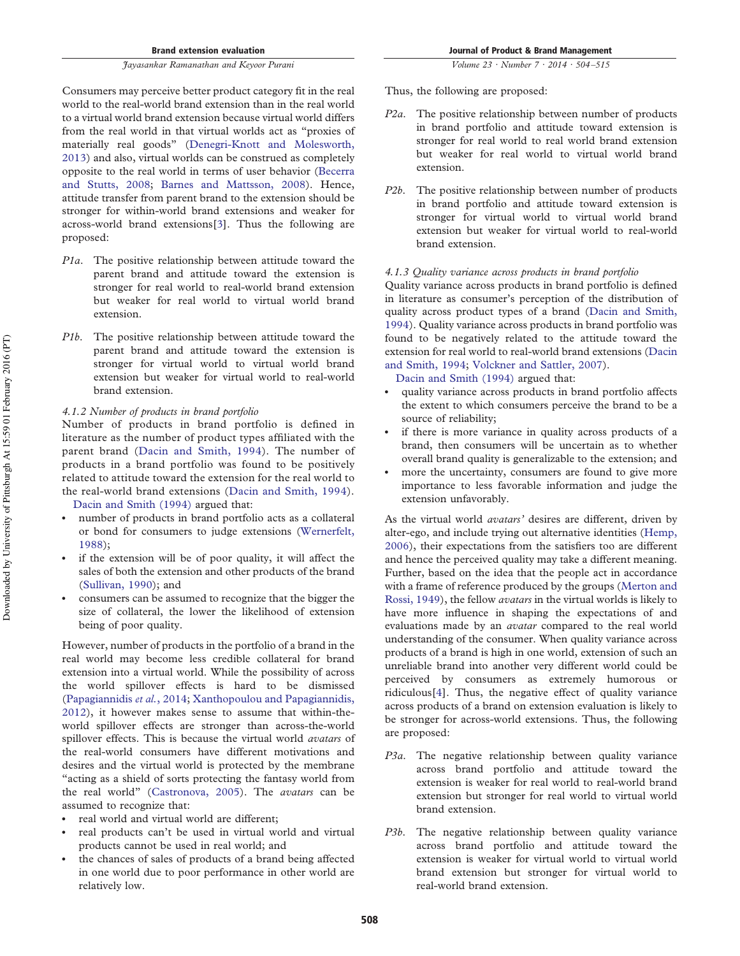Brand extension evaluation

#### *Jayasankar Ramanathan and Keyoor Purani*

Consumers may perceive better product category fit in the real world to the real-world brand extension than in the real world to a virtual world brand extension because virtual world differs from the real world in that virtual worlds act as "proxies of materially real goods" (Denegri-Knott and Molesworth, 2013) and also, virtual worlds can be construed as completely opposite to the real world in terms of user behavior (Becerra and Stutts, 2008; Barnes and Mattsson, 2008). Hence, attitude transfer from parent brand to the extension should be stronger for within-world brand extensions and weaker for across-world brand extensions[3]. Thus the following are proposed:

- *P1a*. The positive relationship between attitude toward the parent brand and attitude toward the extension is stronger for real world to real-world brand extension but weaker for real world to virtual world brand extension.
- *P1b*. The positive relationship between attitude toward the parent brand and attitude toward the extension is stronger for virtual world to virtual world brand extension but weaker for virtual world to real-world brand extension.

#### *4.1.2 Number of products in brand portfolio*

Number of products in brand portfolio is defined in literature as the number of product types affiliated with the parent brand (Dacin and Smith, 1994). The number of products in a brand portfolio was found to be positively related to attitude toward the extension for the real world to the real-world brand extensions (Dacin and Smith, 1994).

Dacin and Smith (1994) argued that:

- number of products in brand portfolio acts as a collateral or bond for consumers to judge extensions (Wernerfelt, 1988);
- if the extension will be of poor quality, it will affect the sales of both the extension and other products of the brand (Sullivan, 1990); and
- consumers can be assumed to recognize that the bigger the size of collateral, the lower the likelihood of extension being of poor quality.

However, number of products in the portfolio of a brand in the real world may become less credible collateral for brand extension into a virtual world. While the possibility of across the world spillover effects is hard to be dismissed (Papagiannidis *et al.*, 2014; Xanthopoulou and Papagiannidis, 2012), it however makes sense to assume that within-theworld spillover effects are stronger than across-the-world spillover effects. This is because the virtual world *avatars* of the real-world consumers have different motivations and desires and the virtual world is protected by the membrane "acting as a shield of sorts protecting the fantasy world from the real world" (Castronova, 2005). The *avatars* can be assumed to recognize that:

- real world and virtual world are different;
- real products can't be used in virtual world and virtual products cannot be used in real world; and
- the chances of sales of products of a brand being affected in one world due to poor performance in other world are relatively low.

*Volume 23 · Number 7 · 2014 · 504 –515*

Thus, the following are proposed:

- *P2a*. The positive relationship between number of products in brand portfolio and attitude toward extension is stronger for real world to real world brand extension but weaker for real world to virtual world brand extension.
- *P2b*. The positive relationship between number of products in brand portfolio and attitude toward extension is stronger for virtual world to virtual world brand extension but weaker for virtual world to real-world brand extension.

#### *4.1.3 Quality variance across products in brand portfolio*

Quality variance across products in brand portfolio is defined in literature as consumer's perception of the distribution of quality across product types of a brand (Dacin and Smith, 1994). Quality variance across products in brand portfolio was found to be negatively related to the attitude toward the extension for real world to real-world brand extensions (Dacin and Smith, 1994; Volckner and Sattler, 2007).

Dacin and Smith (1994) argued that:

- quality variance across products in brand portfolio affects the extent to which consumers perceive the brand to be a source of reliability;
- if there is more variance in quality across products of a brand, then consumers will be uncertain as to whether overall brand quality is generalizable to the extension; and
- more the uncertainty, consumers are found to give more importance to less favorable information and judge the extension unfavorably.

As the virtual world *avatars'* desires are different, driven by alter-ego, and include trying out alternative identities (Hemp, 2006), their expectations from the satisfiers too are different and hence the perceived quality may take a different meaning. Further, based on the idea that the people act in accordance with a frame of reference produced by the groups (Merton and Rossi, 1949), the fellow *avatars* in the virtual worlds is likely to have more influence in shaping the expectations of and evaluations made by an *avatar* compared to the real world understanding of the consumer. When quality variance across products of a brand is high in one world, extension of such an unreliable brand into another very different world could be perceived by consumers as extremely humorous or ridiculous[4]. Thus, the negative effect of quality variance across products of a brand on extension evaluation is likely to be stronger for across-world extensions. Thus, the following are proposed:

- *P3a*. The negative relationship between quality variance across brand portfolio and attitude toward the extension is weaker for real world to real-world brand extension but stronger for real world to virtual world brand extension.
- *P3b*. The negative relationship between quality variance across brand portfolio and attitude toward the extension is weaker for virtual world to virtual world brand extension but stronger for virtual world to real-world brand extension.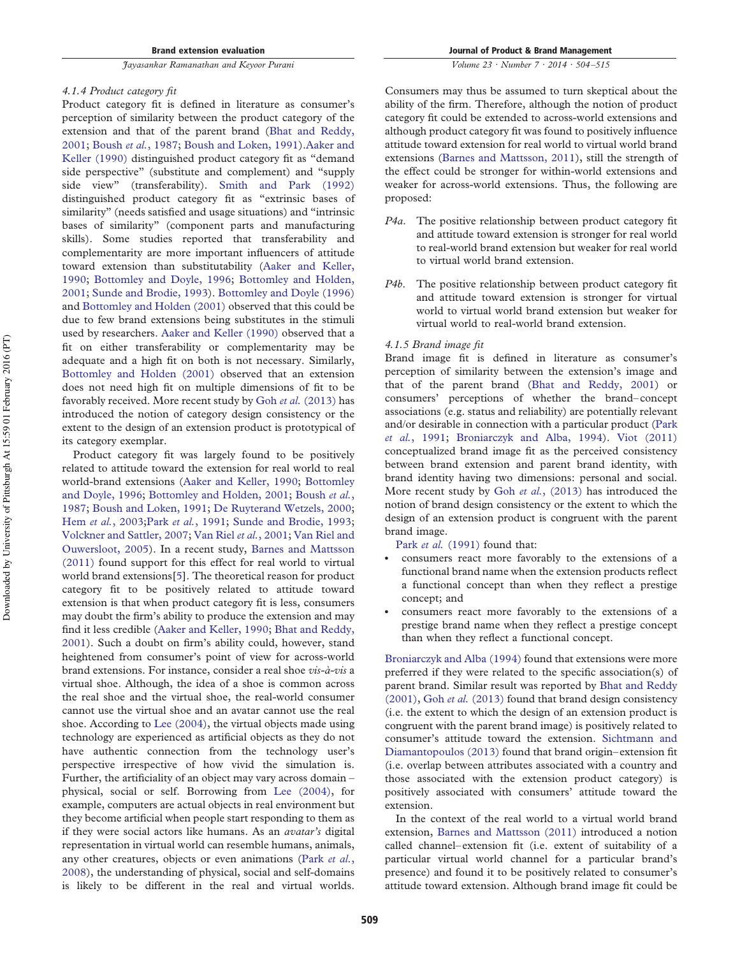#### *4.1.4 Product category fit*

Product category fit is defined in literature as consumer's perception of similarity between the product category of the extension and that of the parent brand (Bhat and Reddy, 2001; Boush *et al.*, 1987; Boush and Loken, 1991).Aaker and Keller (1990) distinguished product category fit as "demand side perspective" (substitute and complement) and "supply side view" (transferability). Smith and Park (1992) distinguished product category fit as "extrinsic bases of similarity" (needs satisfied and usage situations) and "intrinsic bases of similarity" (component parts and manufacturing skills). Some studies reported that transferability and complementarity are more important influencers of attitude toward extension than substitutability (Aaker and Keller, 1990; Bottomley and Doyle, 1996; Bottomley and Holden, 2001; Sunde and Brodie, 1993). Bottomley and Doyle (1996) and Bottomley and Holden (2001) observed that this could be due to few brand extensions being substitutes in the stimuli used by researchers. Aaker and Keller (1990) observed that a fit on either transferability or complementarity may be adequate and a high fit on both is not necessary. Similarly, Bottomley and Holden (2001) observed that an extension does not need high fit on multiple dimensions of fit to be favorably received. More recent study by Goh *et al.* (2013) has introduced the notion of category design consistency or the extent to the design of an extension product is prototypical of its category exemplar.

Product category fit was largely found to be positively related to attitude toward the extension for real world to real world-brand extensions (Aaker and Keller, 1990; Bottomley and Doyle, 1996; Bottomley and Holden, 2001; Boush *et al.*, 1987; Boush and Loken, 1991; De Ruyterand Wetzels, 2000; Hem *et al.*, 2003;Park *et al.*, 1991; Sunde and Brodie, 1993; Volckner and Sattler, 2007; Van Riel *et al.*, 2001; Van Riel and Ouwersloot, 2005). In a recent study, Barnes and Mattsson (2011) found support for this effect for real world to virtual world brand extensions[5]. The theoretical reason for product category fit to be positively related to attitude toward extension is that when product category fit is less, consumers may doubt the firm's ability to produce the extension and may find it less credible (Aaker and Keller, 1990; Bhat and Reddy, 2001). Such a doubt on firm's ability could, however, stand heightened from consumer's point of view for across-world brand extensions. For instance, consider a real shoe *vis-a`-vis* a virtual shoe. Although, the idea of a shoe is common across the real shoe and the virtual shoe, the real-world consumer cannot use the virtual shoe and an avatar cannot use the real shoe. According to Lee (2004), the virtual objects made using technology are experienced as artificial objects as they do not have authentic connection from the technology user's perspective irrespective of how vivid the simulation is. Further, the artificiality of an object may vary across domain – physical, social or self. Borrowing from Lee (2004), for example, computers are actual objects in real environment but they become artificial when people start responding to them as if they were social actors like humans. As an *avatar's* digital representation in virtual world can resemble humans, animals, any other creatures, objects or even animations (Park *et al.*, 2008), the understanding of physical, social and self-domains is likely to be different in the real and virtual worlds. Journal of Product & Brand Management

*Volume 23 · Number 7 · 2014 · 504 –515*

Consumers may thus be assumed to turn skeptical about the ability of the firm. Therefore, although the notion of product category fit could be extended to across-world extensions and although product category fit was found to positively influence attitude toward extension for real world to virtual world brand extensions (Barnes and Mattsson, 2011), still the strength of the effect could be stronger for within-world extensions and weaker for across-world extensions. Thus, the following are proposed:

- *P4a*. The positive relationship between product category fit and attitude toward extension is stronger for real world to real-world brand extension but weaker for real world to virtual world brand extension.
- *P4b*. The positive relationship between product category fit and attitude toward extension is stronger for virtual world to virtual world brand extension but weaker for virtual world to real-world brand extension.

#### *4.1.5 Brand image fit*

Brand image fit is defined in literature as consumer's perception of similarity between the extension's image and that of the parent brand (Bhat and Reddy, 2001) or consumers' perceptions of whether the brand–concept associations (e.g. status and reliability) are potentially relevant and/or desirable in connection with a particular product (Park *et al.*, 1991; Broniarczyk and Alba, 1994). Viot (2011) conceptualized brand image fit as the perceived consistency between brand extension and parent brand identity, with brand identity having two dimensions: personal and social. More recent study by Goh *et al.*, (2013) has introduced the notion of brand design consistency or the extent to which the design of an extension product is congruent with the parent brand image.

Park *et al.* (1991) found that:

- consumers react more favorably to the extensions of a functional brand name when the extension products reflect a functional concept than when they reflect a prestige concept; and
- consumers react more favorably to the extensions of a prestige brand name when they reflect a prestige concept than when they reflect a functional concept.

Broniarczyk and Alba (1994) found that extensions were more preferred if they were related to the specific association(s) of parent brand. Similar result was reported by Bhat and Reddy (2001), Goh *et al.* (2013) found that brand design consistency (i.e. the extent to which the design of an extension product is congruent with the parent brand image) is positively related to consumer's attitude toward the extension. Sichtmann and Diamantopoulos (2013) found that brand origin–extension fit (i.e. overlap between attributes associated with a country and those associated with the extension product category) is positively associated with consumers' attitude toward the extension.

In the context of the real world to a virtual world brand extension, Barnes and Mattsson (2011) introduced a notion called channel–extension fit (i.e. extent of suitability of a particular virtual world channel for a particular brand's presence) and found it to be positively related to consumer's attitude toward extension. Although brand image fit could be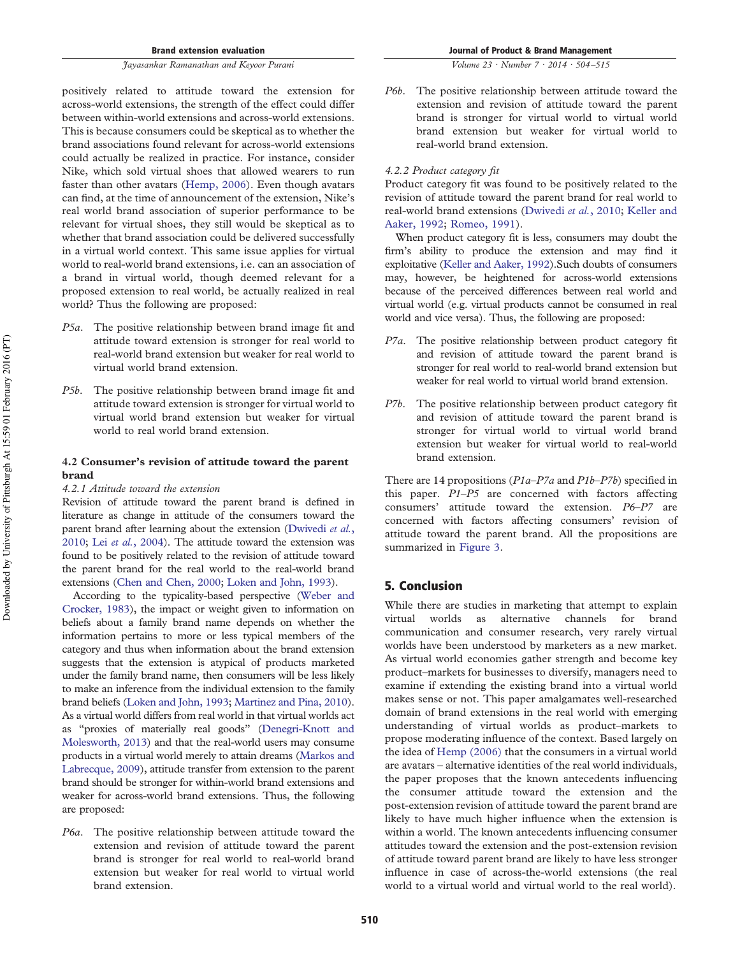positively related to attitude toward the extension for across-world extensions, the strength of the effect could differ between within-world extensions and across-world extensions. This is because consumers could be skeptical as to whether the brand associations found relevant for across-world extensions could actually be realized in practice. For instance, consider Nike, which sold virtual shoes that allowed wearers to run faster than other avatars (Hemp, 2006). Even though avatars can find, at the time of announcement of the extension, Nike's real world brand association of superior performance to be relevant for virtual shoes, they still would be skeptical as to whether that brand association could be delivered successfully in a virtual world context. This same issue applies for virtual world to real-world brand extensions, i.e. can an association of a brand in virtual world, though deemed relevant for a proposed extension to real world, be actually realized in real world? Thus the following are proposed:

- *P5a*. The positive relationship between brand image fit and attitude toward extension is stronger for real world to real-world brand extension but weaker for real world to virtual world brand extension.
- *P5b*. The positive relationship between brand image fit and attitude toward extension is stronger for virtual world to virtual world brand extension but weaker for virtual world to real world brand extension.

### **4.2 Consumer's revision of attitude toward the parent brand**

#### *4.2.1 Attitude toward the extension*

Revision of attitude toward the parent brand is defined in literature as change in attitude of the consumers toward the parent brand after learning about the extension (Dwivedi *et al.*, 2010; Lei *et al.*, 2004). The attitude toward the extension was found to be positively related to the revision of attitude toward the parent brand for the real world to the real-world brand extensions (Chen and Chen, 2000; Loken and John, 1993).

According to the typicality-based perspective (Weber and Crocker, 1983), the impact or weight given to information on beliefs about a family brand name depends on whether the information pertains to more or less typical members of the category and thus when information about the brand extension suggests that the extension is atypical of products marketed under the family brand name, then consumers will be less likely to make an inference from the individual extension to the family brand beliefs (Loken and John, 1993; Martinez and Pina, 2010). As a virtual world differs from real world in that virtual worlds act as "proxies of materially real goods" (Denegri-Knott and Molesworth, 2013) and that the real-world users may consume products in a virtual world merely to attain dreams (Markos and Labrecque, 2009), attitude transfer from extension to the parent brand should be stronger for within-world brand extensions and weaker for across-world brand extensions. Thus, the following are proposed:

*P6a*. The positive relationship between attitude toward the extension and revision of attitude toward the parent brand is stronger for real world to real-world brand extension but weaker for real world to virtual world brand extension.

*Volume 23 · Number 7 · 2014 · 504 –515*

*P6b*. The positive relationship between attitude toward the extension and revision of attitude toward the parent brand is stronger for virtual world to virtual world brand extension but weaker for virtual world to real-world brand extension.

#### *4.2.2 Product category fit*

Product category fit was found to be positively related to the revision of attitude toward the parent brand for real world to real-world brand extensions (Dwivedi *et al.*, 2010; Keller and Aaker, 1992; Romeo, 1991).

When product category fit is less, consumers may doubt the firm's ability to produce the extension and may find it exploitative (Keller and Aaker, 1992).Such doubts of consumers may, however, be heightened for across-world extensions because of the perceived differences between real world and virtual world (e.g. virtual products cannot be consumed in real world and vice versa). Thus, the following are proposed:

- *P7a*. The positive relationship between product category fit and revision of attitude toward the parent brand is stronger for real world to real-world brand extension but weaker for real world to virtual world brand extension.
- *P7b*. The positive relationship between product category fit and revision of attitude toward the parent brand is stronger for virtual world to virtual world brand extension but weaker for virtual world to real-world brand extension.

There are 14 propositions (*P1a*–*P7a* and *P1b*–*P7b*) specified in this paper. *P1*–*P5* are concerned with factors affecting consumers' attitude toward the extension. *P6*–*P7* are concerned with factors affecting consumers' revision of attitude toward the parent brand. All the propositions are summarized in Figure 3.

## 5. Conclusion

While there are studies in marketing that attempt to explain virtual worlds as alternative channels for brand communication and consumer research, very rarely virtual worlds have been understood by marketers as a new market. As virtual world economies gather strength and become key product–markets for businesses to diversify, managers need to examine if extending the existing brand into a virtual world makes sense or not. This paper amalgamates well-researched domain of brand extensions in the real world with emerging understanding of virtual worlds as product–markets to propose moderating influence of the context. Based largely on the idea of Hemp (2006) that the consumers in a virtual world are avatars – alternative identities of the real world individuals, the paper proposes that the known antecedents influencing the consumer attitude toward the extension and the post-extension revision of attitude toward the parent brand are likely to have much higher influence when the extension is within a world. The known antecedents influencing consumer attitudes toward the extension and the post-extension revision of attitude toward parent brand are likely to have less stronger influence in case of across-the-world extensions (the real world to a virtual world and virtual world to the real world).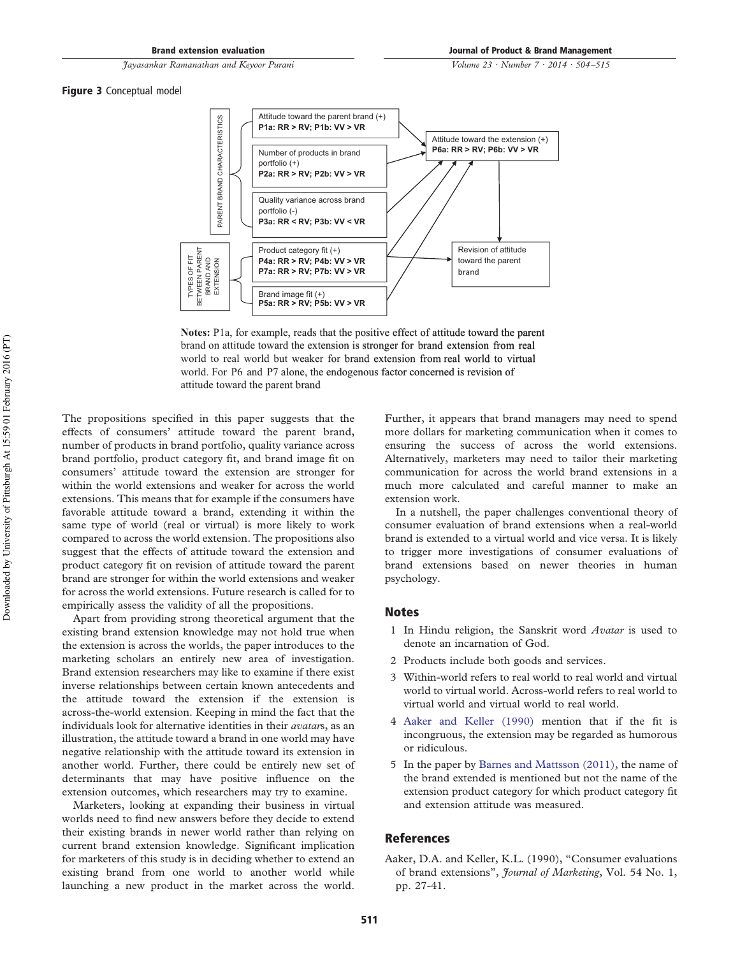*Volume 23 · Number 7 · 2014 · 504 –515*

Figure 3 Conceptual model



**Notes:** P1a, for example, reads that the positive effect of attitude toward the parent brand on attitude toward the extension is stronger for brand extension from real world to real world but weaker for brand extension from real world to virtual world. For P6 and P7 alone, the endogenous factor concerned is revision of attitude toward the parent brand

The propositions specified in this paper suggests that the effects of consumers' attitude toward the parent brand, number of products in brand portfolio, quality variance across brand portfolio, product category fit, and brand image fit on consumers' attitude toward the extension are stronger for within the world extensions and weaker for across the world extensions. This means that for example if the consumers have favorable attitude toward a brand, extending it within the same type of world (real or virtual) is more likely to work compared to across the world extension. The propositions also suggest that the effects of attitude toward the extension and product category fit on revision of attitude toward the parent brand are stronger for within the world extensions and weaker for across the world extensions. Future research is called for to empirically assess the validity of all the propositions.

Apart from providing strong theoretical argument that the existing brand extension knowledge may not hold true when the extension is across the worlds, the paper introduces to the marketing scholars an entirely new area of investigation. Brand extension researchers may like to examine if there exist inverse relationships between certain known antecedents and the attitude toward the extension if the extension is across-the-world extension. Keeping in mind the fact that the individuals look for alternative identities in their *avatar*s, as an illustration, the attitude toward a brand in one world may have negative relationship with the attitude toward its extension in another world. Further, there could be entirely new set of determinants that may have positive influence on the extension outcomes, which researchers may try to examine.

Marketers, looking at expanding their business in virtual worlds need to find new answers before they decide to extend their existing brands in newer world rather than relying on current brand extension knowledge. Significant implication for marketers of this study is in deciding whether to extend an existing brand from one world to another world while launching a new product in the market across the world. Further, it appears that brand managers may need to spend more dollars for marketing communication when it comes to ensuring the success of across the world extensions. Alternatively, marketers may need to tailor their marketing communication for across the world brand extensions in a much more calculated and careful manner to make an extension work.

In a nutshell, the paper challenges conventional theory of consumer evaluation of brand extensions when a real-world brand is extended to a virtual world and vice versa. It is likely to trigger more investigations of consumer evaluations of brand extensions based on newer theories in human psychology.

#### **Notes**

- 1 In Hindu religion, the Sanskrit word *Avatar* is used to denote an incarnation of God.
- 2 Products include both goods and services.
- 3 Within-world refers to real world to real world and virtual world to virtual world. Across-world refers to real world to virtual world and virtual world to real world.
- 4 Aaker and Keller (1990) mention that if the fit is incongruous, the extension may be regarded as humorous or ridiculous.
- 5 In the paper by Barnes and Mattsson (2011), the name of the brand extended is mentioned but not the name of the extension product category for which product category fit and extension attitude was measured.

#### References

Aaker, D.A. and Keller, K.L. (1990), "Consumer evaluations of brand extensions", *Journal of Marketing*, Vol. 54 No. 1, pp. 27-41.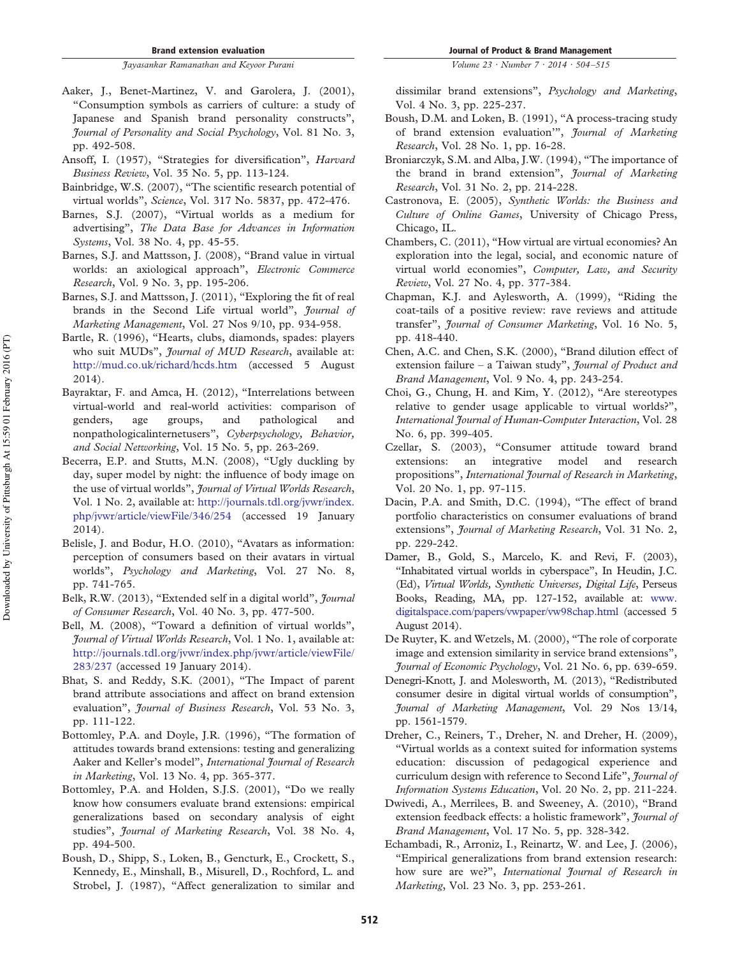- Aaker, J., Benet-Martinez, V. and Garolera, J. (2001), "Consumption symbols as carriers of culture: a study of Japanese and Spanish brand personality constructs", *Journal of Personality and Social Psychology*, Vol. 81 No. 3, pp. 492-508.
- Ansoff, I. (1957), "Strategies for diversification", *Harvard Business Review*, Vol. 35 No. 5, pp. 113-124.
- Bainbridge, W.S. (2007), "The scientific research potential of virtual worlds", *Science*, Vol. 317 No. 5837, pp. 472-476.
- Barnes, S.J. (2007), "Virtual worlds as a medium for advertising", *The Data Base for Advances in Information Systems*, Vol. 38 No. 4, pp. 45-55.
- Barnes, S.J. and Mattsson, J. (2008), "Brand value in virtual worlds: an axiological approach", *Electronic Commerce Research*, Vol. 9 No. 3, pp. 195-206.
- Barnes, S.J. and Mattsson, J. (2011), "Exploring the fit of real brands in the Second Life virtual world", *Journal of Marketing Management*, Vol. 27 Nos 9/10, pp. 934-958.
- Bartle, R. (1996), "Hearts, clubs, diamonds, spades: players who suit MUDs", *Journal of MUD Research*, available at: <http://mud.co.uk/richard/hcds.htm> (accessed 5 August 2014).
- Bayraktar, F. and Amca, H. (2012), "Interrelations between virtual-world and real-world activities: comparison of genders, age groups, and pathological and nonpathologicalinternetusers", *Cyberpsychology, Behavior, and Social Networking*, Vol. 15 No. 5, pp. 263-269.
- Becerra, E.P. and Stutts, M.N. (2008), "Ugly duckling by day, super model by night: the influence of body image on the use of virtual worlds", *Journal of Virtual Worlds Research*, Vol. 1 No. 2, available at: [http://journals.tdl.org/jvwr/index.](http://journals.tdl.org/jvwr/index.php/jvwr/article/viewFile/346/254) [php/jvwr/article/viewFile/346/254](http://journals.tdl.org/jvwr/index.php/jvwr/article/viewFile/346/254) (accessed 19 January 2014).
- Belisle, J. and Bodur, H.O. (2010), "Avatars as information: perception of consumers based on their avatars in virtual worlds", *Psychology and Marketing*, Vol. 27 No. 8, pp. 741-765.
- Belk, R.W. (2013), "Extended self in a digital world", *Journal of Consumer Research*, Vol. 40 No. 3, pp. 477-500.
- Bell, M. (2008), "Toward a definition of virtual worlds", *Journal of Virtual Worlds Research*, Vol. 1 No. 1, available at: [http://journals.tdl.org/jvwr/index.php/jvwr/article/viewFile/](http://journals.tdl.org/jvwr/index.php/jvwr/article/viewFile/283/237) [283/237](http://journals.tdl.org/jvwr/index.php/jvwr/article/viewFile/283/237) (accessed 19 January 2014).
- Bhat, S. and Reddy, S.K. (2001), "The Impact of parent brand attribute associations and affect on brand extension evaluation", *Journal of Business Research*, Vol. 53 No. 3, pp. 111-122.
- Bottomley, P.A. and Doyle, J.R. (1996), "The formation of attitudes towards brand extensions: testing and generalizing Aaker and Keller's model", *International Journal of Research in Marketing*, Vol. 13 No. 4, pp. 365-377.
- Bottomley, P.A. and Holden, S.J.S. (2001), "Do we really know how consumers evaluate brand extensions: empirical generalizations based on secondary analysis of eight studies", *Journal of Marketing Research*, Vol. 38 No. 4, pp. 494-500.
- Boush, D., Shipp, S., Loken, B., Gencturk, E., Crockett, S., Kennedy, E., Minshall, B., Misurell, D., Rochford, L. and Strobel, J. (1987), "Affect generalization to similar and

*Volume 23 · Number 7 · 2014 · 504 –515*

dissimilar brand extensions", *Psychology and Marketing*, Vol. 4 No. 3, pp. 225-237.

- Boush, D.M. and Loken, B. (1991), "A process-tracing study of brand extension evaluation'", *Journal of Marketing Research*, Vol. 28 No. 1, pp. 16-28.
- Broniarczyk, S.M. and Alba, J.W. (1994), "The importance of the brand in brand extension", *Journal of Marketing Research*, Vol. 31 No. 2, pp. 214-228.
- Castronova, E. (2005), *Synthetic Worlds: the Business and Culture of Online Games*, University of Chicago Press, Chicago, IL.
- Chambers, C. (2011), "How virtual are virtual economies? An exploration into the legal, social, and economic nature of virtual world economies", *Computer, Law, and Security Review*, Vol. 27 No. 4, pp. 377-384.
- Chapman, K.J. and Aylesworth, A. (1999), "Riding the coat-tails of a positive review: rave reviews and attitude transfer", *Journal of Consumer Marketing*, Vol. 16 No. 5, pp. 418-440.
- Chen, A.C. and Chen, S.K. (2000), "Brand dilution effect of extension failure – a Taiwan study", *Journal of Product and Brand Management*, Vol. 9 No. 4, pp. 243-254.
- Choi, G., Chung, H. and Kim, Y. (2012), "Are stereotypes relative to gender usage applicable to virtual worlds?", *International Journal of Human-Computer Interaction*, Vol. 28 No. 6, pp. 399-405.
- Czellar, S. (2003), "Consumer attitude toward brand extensions: an integrative model and research propositions", *International Journal of Research in Marketing*, Vol. 20 No. 1, pp. 97-115.
- Dacin, P.A. and Smith, D.C. (1994), "The effect of brand portfolio characteristics on consumer evaluations of brand extensions", *Journal of Marketing Research*, Vol. 31 No. 2, pp. 229-242.
- Damer, B., Gold, S., Marcelo, K. and Revi, F. (2003), "Inhabitated virtual worlds in cyberspace", In Heudin, J.C. (Ed), *Virtual Worlds, Synthetic Universes, Digital Life*, Perseus Books, Reading, MA, pp. 127-152, available at: [www.](http://www.digitalspace.com/papers/vwpaper/vw98chap.html) [digitalspace.com/papers/vwpaper/vw98chap.html](http://www.digitalspace.com/papers/vwpaper/vw98chap.html) (accessed 5 August 2014).
- De Ruyter, K. and Wetzels, M. (2000), "The role of corporate image and extension similarity in service brand extensions", *Journal of Economic Psychology*, Vol. 21 No. 6, pp. 639-659.
- Denegri-Knott, J. and Molesworth, M. (2013), "Redistributed consumer desire in digital virtual worlds of consumption", *Journal of Marketing Management*, Vol. 29 Nos 13/14, pp. 1561-1579.
- Dreher, C., Reiners, T., Dreher, N. and Dreher, H. (2009), "Virtual worlds as a context suited for information systems education: discussion of pedagogical experience and curriculum design with reference to Second Life", *Journal of Information Systems Education*, Vol. 20 No. 2, pp. 211-224.
- Dwivedi, A., Merrilees, B. and Sweeney, A. (2010), "Brand extension feedback effects: a holistic framework", *Journal of Brand Management*, Vol. 17 No. 5, pp. 328-342.
- Echambadi, R., Arroniz, I., Reinartz, W. and Lee, J. (2006), "Empirical generalizations from brand extension research: how sure are we?", *International Journal of Research in Marketing*, Vol. 23 No. 3, pp. 253-261.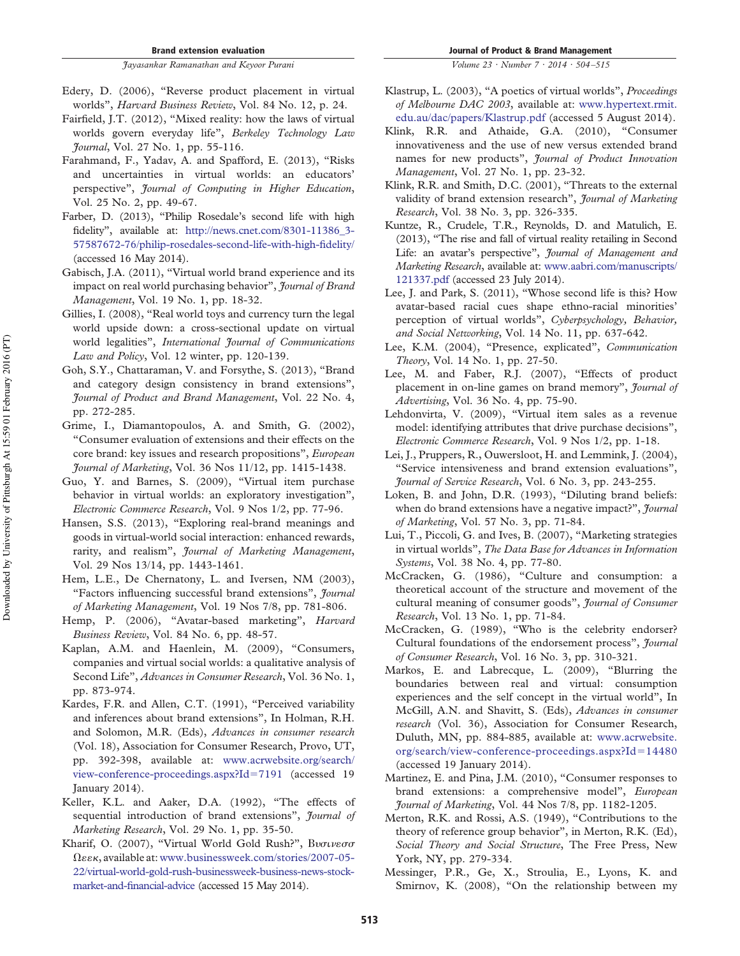- Fairfield, J.T. (2012), "Mixed reality: how the laws of virtual worlds govern everyday life", *Berkeley Technology Law Journal*, Vol. 27 No. 1, pp. 55-116.
- Farahmand, F., Yadav, A. and Spafford, E. (2013), "Risks and uncertainties in virtual worlds: an educators' perspective", *Journal of Computing in Higher Education*, Vol. 25 No. 2, pp. 49-67.
- Farber, D. (2013), "Philip Rosedale's second life with high fidelity", available at: [http://news.cnet.com/8301-11386\\_3-](http://news.cnet.com/8301-11386_3-57587672-76/philip-rosedales-second-life-with-high-fidelity/) [57587672-76/philip-rosedales-second-life-with-high-fidelity/](http://news.cnet.com/8301-11386_3-57587672-76/philip-rosedales-second-life-with-high-fidelity/) (accessed 16 May 2014).
- Gabisch, J.A. (2011), "Virtual world brand experience and its impact on real world purchasing behavior", *Journal of Brand Management*, Vol. 19 No. 1, pp. 18-32.
- Gillies, I. (2008), "Real world toys and currency turn the legal world upside down: a cross-sectional update on virtual world legalities", *International Journal of Communications Law and Policy*, Vol. 12 winter, pp. 120-139.
- Goh, S.Y., Chattaraman, V. and Forsythe, S. (2013), "Brand and category design consistency in brand extensions", *Journal of Product and Brand Management*, Vol. 22 No. 4, pp. 272-285.
- Grime, I., Diamantopoulos, A. and Smith, G. (2002), "Consumer evaluation of extensions and their effects on the core brand: key issues and research propositions", *European Journal of Marketing*, Vol. 36 Nos 11/12, pp. 1415-1438.
- Guo, Y. and Barnes, S. (2009), "Virtual item purchase behavior in virtual worlds: an exploratory investigation", *Electronic Commerce Research*, Vol. 9 Nos 1/2, pp. 77-96.
- Hansen, S.S. (2013), "Exploring real-brand meanings and goods in virtual-world social interaction: enhanced rewards, rarity, and realism", *Journal of Marketing Management*, Vol. 29 Nos 13/14, pp. 1443-1461.
- Hem, L.E., De Chernatony, L. and Iversen, NM (2003), "Factors influencing successful brand extensions", *Journal of Marketing Management*, Vol. 19 Nos 7/8, pp. 781-806.
- Hemp, P. (2006), "Avatar-based marketing", *Harvard Business Review*, Vol. 84 No. 6, pp. 48-57.
- Kaplan, A.M. and Haenlein, M. (2009), "Consumers, companies and virtual social worlds: a qualitative analysis of Second Life", *Advances in Consumer Research*, Vol. 36 No. 1, pp. 873-974.
- Kardes, F.R. and Allen, C.T. (1991), "Perceived variability and inferences about brand extensions", In Holman, R.H. and Solomon, M.R. (Eds), *Advances in consumer research* (Vol. 18), Association for Consumer Research, Provo, UT, pp. 392-398, available at: [www.acrwebsite.org/search/](http://www.acrwebsite.org/search/view-conference-proceedings.aspx?Id=7191) [view-conference-proceedings.aspx?Id](http://www.acrwebsite.org/search/view-conference-proceedings.aspx?Id=7191)=7191 (accessed 19 January 2014).
- Keller, K.L. and Aaker, D.A. (1992), "The effects of sequential introduction of brand extensions", *Journal of Marketing Research*, Vol. 29 No. 1, pp. 35-50.
- Kharif, O. (2007), "Virtual World Gold Rush?", Bvoiveoo , available at: [www.businessweek.com/stories/2007-05-](http://www.businessweek.com/stories/2007-05-22/virtual-world-gold-rush-businessweek-business-news-stock-market-and-financial-advice) [22/virtual-world-gold-rush-businessweek-business-news-stock](http://www.businessweek.com/stories/2007-05-22/virtual-world-gold-rush-businessweek-business-news-stock-market-and-financial-advice)[market-and-financial-advice](http://www.businessweek.com/stories/2007-05-22/virtual-world-gold-rush-businessweek-business-news-stock-market-and-financial-advice) (accessed 15 May 2014).

Journal of Product & Brand Management

*Volume 23 · Number 7 · 2014 · 504 –515*

- Klastrup, L. (2003), "A poetics of virtual worlds", *Proceedings of Melbourne DAC 2003*, available at: [www.hypertext.rmit.](http://www.hypertext.rmit.edu.au/dac/papers/Klastrup.pdf) [edu.au/dac/papers/Klastrup.pdf](http://www.hypertext.rmit.edu.au/dac/papers/Klastrup.pdf) (accessed 5 August 2014).
- Klink, R.R. and Athaide, G.A. (2010), "Consumer innovativeness and the use of new versus extended brand names for new products", *Journal of Product Innovation Management*, Vol. 27 No. 1, pp. 23-32.
- Klink, R.R. and Smith, D.C. (2001), "Threats to the external validity of brand extension research", *Journal of Marketing Research*, Vol. 38 No. 3, pp. 326-335.
- Kuntze, R., Crudele, T.R., Reynolds, D. and Matulich, E. (2013), "The rise and fall of virtual reality retailing in Second Life: an avatar's perspective", *Journal of Management and Marketing Research*, available at: [www.aabri.com/manuscripts/](http://www.aabri.com/manuscripts/121337.pdf) [121337.pdf](http://www.aabri.com/manuscripts/121337.pdf) (accessed 23 July 2014).
- Lee, J. and Park, S. (2011), "Whose second life is this? How avatar-based racial cues shape ethno-racial minorities' perception of virtual worlds", *Cyberpsychology, Behavior, and Social Networking*, Vol. 14 No. 11, pp. 637-642.
- Lee, K.M. (2004), "Presence, explicated", *Communication Theory*, Vol. 14 No. 1, pp. 27-50.
- Lee, M. and Faber, R.J. (2007), "Effects of product placement in on-line games on brand memory", *Journal of Advertising*, Vol. 36 No. 4, pp. 75-90.
- Lehdonvirta, V. (2009), "Virtual item sales as a revenue model: identifying attributes that drive purchase decisions", *Electronic Commerce Research*, Vol. 9 Nos 1/2, pp. 1-18.
- Lei, J., Pruppers, R., Ouwersloot, H. and Lemmink, J. (2004), "Service intensiveness and brand extension evaluations", *Journal of Service Research*, Vol. 6 No. 3, pp. 243-255.
- Loken, B. and John, D.R. (1993), "Diluting brand beliefs: when do brand extensions have a negative impact?", *Journal of Marketing*, Vol. 57 No. 3, pp. 71-84.
- Lui, T., Piccoli, G. and Ives, B. (2007), "Marketing strategies in virtual worlds", *The Data Base for Advances in Information Systems*, Vol. 38 No. 4, pp. 77-80.
- McCracken, G. (1986), "Culture and consumption: a theoretical account of the structure and movement of the cultural meaning of consumer goods", *Journal of Consumer Research*, Vol. 13 No. 1, pp. 71-84.
- McCracken, G. (1989), "Who is the celebrity endorser? Cultural foundations of the endorsement process", *Journal of Consumer Research*, Vol. 16 No. 3, pp. 310-321.
- Markos, E. and Labrecque, L. (2009), "Blurring the boundaries between real and virtual: consumption experiences and the self concept in the virtual world", In McGill, A.N. and Shavitt, S. (Eds), *Advances in consumer research* (Vol. 36), Association for Consumer Research, Duluth, MN, pp. 884-885, available at: [www.acrwebsite.](http://www.acrwebsite.org/search/view-conference-proceedings.aspx?Id=14480) [org/search/view-conference-proceedings.aspx?Id](http://www.acrwebsite.org/search/view-conference-proceedings.aspx?Id=14480)=14480 (accessed 19 January 2014).
- Martinez, E. and Pina, J.M. (2010), "Consumer responses to brand extensions: a comprehensive model", *European Journal of Marketing*, Vol. 44 Nos 7/8, pp. 1182-1205.
- Merton, R.K. and Rossi, A.S. (1949), "Contributions to the theory of reference group behavior", in Merton, R.K. (Ed), *Social Theory and Social Structure*, The Free Press, New York, NY, pp. 279-334.
- Messinger, P.R., Ge, X., Stroulia, E., Lyons, K. and Smirnov, K. (2008), "On the relationship between my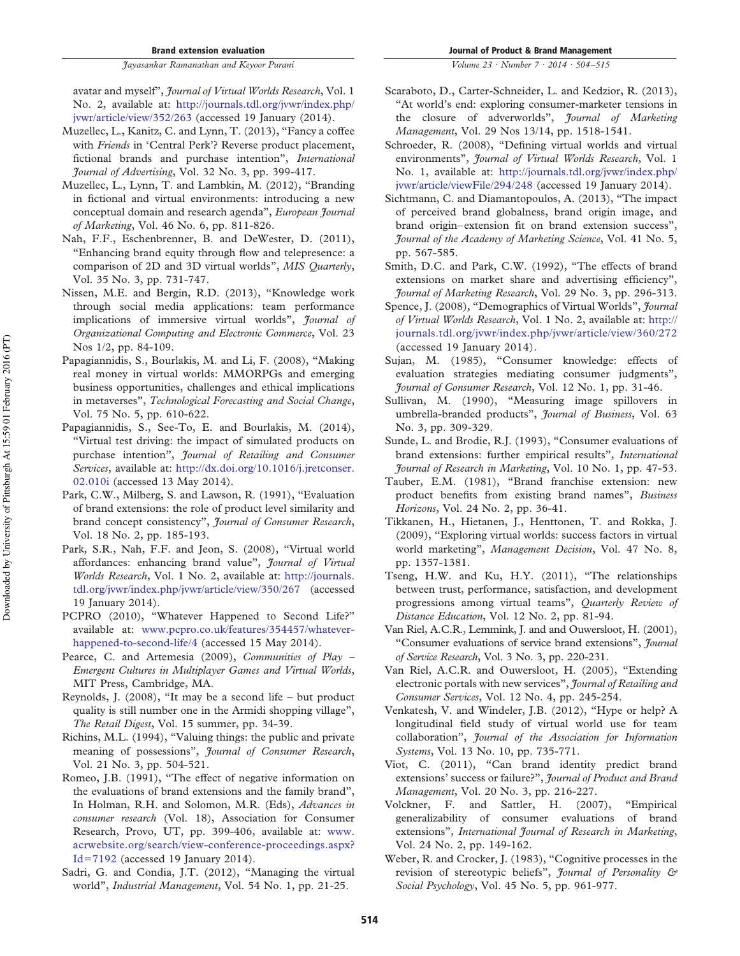avatar and myself", *Journal of Virtual Worlds Research*, Vol. 1 No. 2, available at: [http://journals.tdl.org/jvwr/index.php/](http://journals.tdl.org/jvwr/index.php/jvwr/article/view/352/263) [jvwr/article/view/352/263](http://journals.tdl.org/jvwr/index.php/jvwr/article/view/352/263) (accessed 19 January (2014).

- Muzellec, L., Kanitz, C. and Lynn, T. (2013), "Fancy a coffee with *Friends* in 'Central Perk'? Reverse product placement, fictional brands and purchase intention", *International Journal of Advertising*, Vol. 32 No. 3, pp. 399-417.
- Muzellec, L., Lynn, T. and Lambkin, M. (2012), "Branding in fictional and virtual environments: introducing a new conceptual domain and research agenda", *European Journal of Marketing*, Vol. 46 No. 6, pp. 811-826.
- Nah, F.F., Eschenbrenner, B. and DeWester, D. (2011), "Enhancing brand equity through flow and telepresence: a comparison of 2D and 3D virtual worlds", *MIS Quarterly*, Vol. 35 No. 3, pp. 731-747.
- Nissen, M.E. and Bergin, R.D. (2013), "Knowledge work through social media applications: team performance implications of immersive virtual worlds", *Journal of Organizational Computing and Electronic Commerce*, Vol. 23 Nos 1/2, pp. 84-109.
- Papagiannidis, S., Bourlakis, M. and Li, F. (2008), "Making real money in virtual worlds: MMORPGs and emerging business opportunities, challenges and ethical implications in metaverses", *Technological Forecasting and Social Change*, Vol. 75 No. 5, pp. 610-622.
- Papagiannidis, S., See-To, E. and Bourlakis, M. (2014), "Virtual test driving: the impact of simulated products on purchase intention", *Journal of Retailing and Consumer Services*, available at: [http://dx.doi.org/10.1016/j.jretconser.](http://dx.doi.org/10.1016/j.jretconser.02.010i) [02.010i](http://dx.doi.org/10.1016/j.jretconser.02.010i) (accessed 13 May 2014).
- Park, C.W., Milberg, S. and Lawson, R. (1991), "Evaluation of brand extensions: the role of product level similarity and brand concept consistency", *Journal of Consumer Research*, Vol. 18 No. 2, pp. 185-193.
- Park, S.R., Nah, F.F. and Jeon, S. (2008), "Virtual world affordances: enhancing brand value", *Journal of Virtual Worlds Research*, Vol. 1 No. 2, available at: [http://journals.](http://journals.tdl.org/jvwr/index.php/jvwr/article/view/350/267) [tdl.org/jvwr/index.php/jvwr/article/view/350/267](http://journals.tdl.org/jvwr/index.php/jvwr/article/view/350/267) (accessed 19 January 2014).
- PCPRO (2010), "Whatever Happened to Second Life?" available at: [www.pcpro.co.uk/features/354457/whatever](http://www.pcpro.co.uk/features/354457/whatever-happened-to-second-life/4)[happened-to-second-life/4](http://www.pcpro.co.uk/features/354457/whatever-happened-to-second-life/4) (accessed 15 May 2014).
- Pearce, C. and Artemesia (2009), *Communities of Play – Emergent Cultures in Multiplayer Games and Virtual Worlds*, MIT Press, Cambridge, MA.
- Reynolds, J. (2008), "It may be a second life but product quality is still number one in the Armidi shopping village", *The Retail Digest*, Vol. 15 summer, pp. 34-39.
- Richins, M.L. (1994), "Valuing things: the public and private meaning of possessions", *Journal of Consumer Research*, Vol. 21 No. 3, pp. 504-521.
- Romeo, J.B. (1991), "The effect of negative information on the evaluations of brand extensions and the family brand", In Holman, R.H. and Solomon, M.R. (Eds), *Advances in consumer research* (Vol. 18), Association for Consumer Research, Provo, UT, pp. 399-406, available at: [www.](http://www.acrwebsite.org/search/view-conference-proceedings.aspx?Id=7192) [acrwebsite.org/search/view-conference-proceedings.aspx?](http://www.acrwebsite.org/search/view-conference-proceedings.aspx?Id=7192) Id-[7192](http://www.acrwebsite.org/search/view-conference-proceedings.aspx?Id=7192) (accessed 19 January 2014).
- Sadri, G. and Condia, J.T. (2012), "Managing the virtual world", *Industrial Management*, Vol. 54 No. 1, pp. 21-25.

*Volume 23 · Number 7 · 2014 · 504 –515*

- Scaraboto, D., Carter-Schneider, L. and Kedzior, R. (2013), "At world's end: exploring consumer-marketer tensions in the closure of adverworlds", *Journal of Marketing Management*, Vol. 29 Nos 13/14, pp. 1518-1541.
- Schroeder, R. (2008), "Defining virtual worlds and virtual environments", *Journal of Virtual Worlds Research*, Vol. 1 No. 1, available at: [http://journals.tdl.org/jvwr/index.php/](http://journals.tdl.org/jvwr/index.php/jvwr/article/viewFile/294/248) [jvwr/article/viewFile/294/248](http://journals.tdl.org/jvwr/index.php/jvwr/article/viewFile/294/248) (accessed 19 January 2014).
- Sichtmann, C. and Diamantopoulos, A. (2013), "The impact of perceived brand globalness, brand origin image, and brand origin–extension fit on brand extension success", *Journal of the Academy of Marketing Science*, Vol. 41 No. 5, pp. 567-585.
- Smith, D.C. and Park, C.W. (1992), "The effects of brand extensions on market share and advertising efficiency", *Journal of Marketing Research*, Vol. 29 No. 3, pp. 296-313.
- Spence, J. (2008), "Demographics of Virtual Worlds", *Journal of Virtual Worlds Research*, Vol. 1 No. 2, available at: [http://](http://journals.tdl.org/jvwr/index.php/jvwr/article/view/360/272) [journals.tdl.org/jvwr/index.php/jvwr/article/view/360/272](http://journals.tdl.org/jvwr/index.php/jvwr/article/view/360/272) (accessed 19 January 2014).
- Sujan, M. (1985), "Consumer knowledge: effects of evaluation strategies mediating consumer judgments", *Journal of Consumer Research*, Vol. 12 No. 1, pp. 31-46.
- Sullivan, M. (1990), "Measuring image spillovers in umbrella-branded products", *Journal of Business*, Vol. 63 No. 3, pp. 309-329.
- Sunde, L. and Brodie, R.J. (1993), "Consumer evaluations of brand extensions: further empirical results", *International Journal of Research in Marketing*, Vol. 10 No. 1, pp. 47-53.
- Tauber, E.M. (1981), "Brand franchise extension: new product benefits from existing brand names", *Business Horizons*, Vol. 24 No. 2, pp. 36-41.
- Tikkanen, H., Hietanen, J., Henttonen, T. and Rokka, J. (2009), "Exploring virtual worlds: success factors in virtual world marketing", *Management Decision*, Vol. 47 No. 8, pp. 1357-1381.
- Tseng, H.W. and Ku, H.Y. (2011), "The relationships between trust, performance, satisfaction, and development progressions among virtual teams", *Quarterly Review of Distance Education*, Vol. 12 No. 2, pp. 81-94.
- Van Riel, A.C.R., Lemmink, J. and and Ouwersloot, H. (2001), "Consumer evaluations of service brand extensions", *Journal of Service Research*, Vol. 3 No. 3, pp. 220-231.
- Van Riel, A.C.R. and Ouwersloot, H. (2005), "Extending electronic portals with new services", *Journal of Retailing and Consumer Services*, Vol. 12 No. 4, pp. 245-254.
- Venkatesh, V. and Windeler, J.B. (2012), "Hype or help? A longitudinal field study of virtual world use for team collaboration", *Journal of the Association for Information Systems*, Vol. 13 No. 10, pp. 735-771.
- Viot, C. (2011), "Can brand identity predict brand extensions' success or failure?", *Journal of Product and Brand Management*, Vol. 20 No. 3, pp. 216-227.
- Volckner, F. and Sattler, H. (2007), "Empirical generalizability of consumer evaluations of brand extensions", *International Journal of Research in Marketing*, Vol. 24 No. 2, pp. 149-162.
- Weber, R. and Crocker, J. (1983), "Cognitive processes in the revision of stereotypic beliefs", *Journal of Personality & Social Psychology*, Vol. 45 No. 5, pp. 961-977.